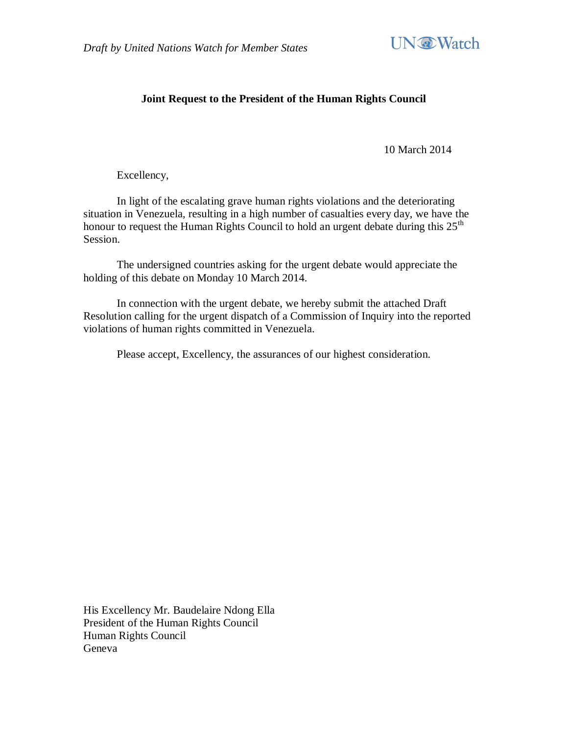

## **Joint Request to the President of the Human Rights Council**

10 March 2014

Excellency,

In light of the escalating grave human rights violations and the deteriorating situation in Venezuela, resulting in a high number of casualties every day, we have the honour to request the Human Rights Council to hold an urgent debate during this  $25<sup>th</sup>$ Session.

The undersigned countries asking for the urgent debate would appreciate the holding of this debate on Monday 10 March 2014.

In connection with the urgent debate, we hereby submit the attached Draft Resolution calling for the urgent dispatch of a Commission of Inquiry into the reported violations of human rights committed in Venezuela.

Please accept, Excellency, the assurances of our highest consideration.

His Excellency Mr. Baudelaire Ndong Ella President of the Human Rights Council Human Rights Council Geneva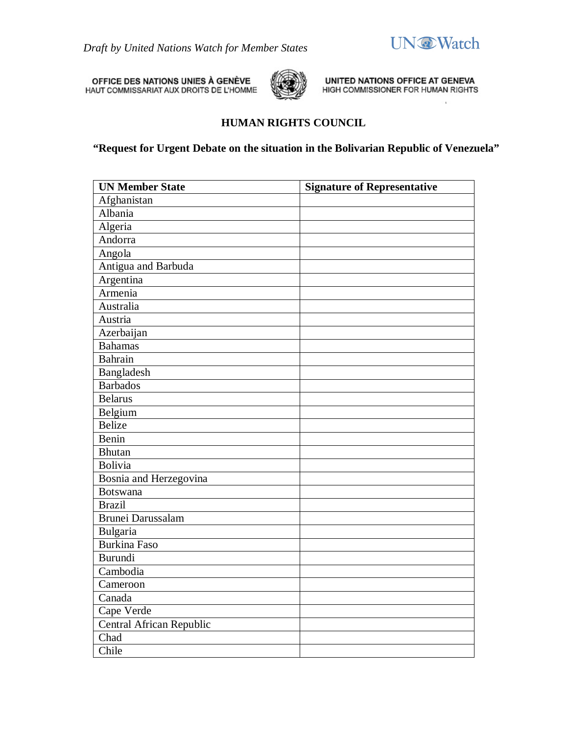

 $\overline{a}$ 

OFFICE DES NATIONS UNIES À GENÈVE<br>HAUT COMMISSARIAT AUX DROITS DE L'HOMME



UNITED NATIONS OFFICE AT GENEVA HIGH COMMISSIONER FOR HUMAN RIGHTS

## **HUMAN RIGHTS COUNCIL**

**"Request for Urgent Debate on the situation in the Bolivarian Republic of Venezuela"**

| <b>UN Member State</b>   | <b>Signature of Representative</b> |
|--------------------------|------------------------------------|
| Afghanistan              |                                    |
| Albania                  |                                    |
| Algeria                  |                                    |
| Andorra                  |                                    |
| Angola                   |                                    |
| Antigua and Barbuda      |                                    |
| Argentina                |                                    |
| Armenia                  |                                    |
| Australia                |                                    |
| Austria                  |                                    |
| Azerbaijan               |                                    |
| <b>Bahamas</b>           |                                    |
| Bahrain                  |                                    |
| Bangladesh               |                                    |
| <b>Barbados</b>          |                                    |
| <b>Belarus</b>           |                                    |
| Belgium                  |                                    |
| <b>Belize</b>            |                                    |
| Benin                    |                                    |
| <b>Bhutan</b>            |                                    |
| <b>Bolivia</b>           |                                    |
| Bosnia and Herzegovina   |                                    |
| <b>Botswana</b>          |                                    |
| <b>Brazil</b>            |                                    |
| <b>Brunei Darussalam</b> |                                    |
| Bulgaria                 |                                    |
| <b>Burkina Faso</b>      |                                    |
| Burundi                  |                                    |
| Cambodia                 |                                    |
| Cameroon                 |                                    |
| Canada                   |                                    |
| Cape Verde               |                                    |
| Central African Republic |                                    |
| Chad                     |                                    |
| Chile                    |                                    |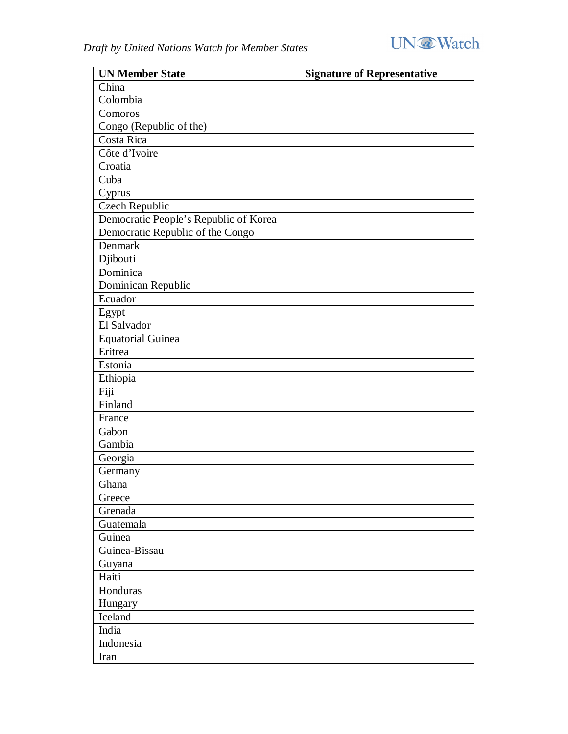

| <b>UN Member State</b>                | <b>Signature of Representative</b> |
|---------------------------------------|------------------------------------|
| China                                 |                                    |
| Colombia                              |                                    |
| Comoros                               |                                    |
| Congo (Republic of the)               |                                    |
| Costa Rica                            |                                    |
| Côte d'Ivoire                         |                                    |
| Croatia                               |                                    |
| Cuba                                  |                                    |
| Cyprus                                |                                    |
| <b>Czech Republic</b>                 |                                    |
| Democratic People's Republic of Korea |                                    |
| Democratic Republic of the Congo      |                                    |
| Denmark                               |                                    |
| Djibouti                              |                                    |
| Dominica                              |                                    |
| Dominican Republic                    |                                    |
| Ecuador                               |                                    |
| Egypt                                 |                                    |
| El Salvador                           |                                    |
| <b>Equatorial Guinea</b>              |                                    |
| Eritrea                               |                                    |
| Estonia                               |                                    |
| Ethiopia                              |                                    |
| Fiji                                  |                                    |
| Finland                               |                                    |
| France                                |                                    |
| Gabon                                 |                                    |
| Gambia                                |                                    |
| Georgia                               |                                    |
| Germany                               |                                    |
| Ghana                                 |                                    |
| Greece                                |                                    |
| Grenada                               |                                    |
| Guatemala                             |                                    |
| Guinea                                |                                    |
| Guinea-Bissau                         |                                    |
| Guyana                                |                                    |
| Haiti                                 |                                    |
| Honduras                              |                                    |
| Hungary                               |                                    |
| Iceland                               |                                    |
| India                                 |                                    |
| Indonesia                             |                                    |
| Iran                                  |                                    |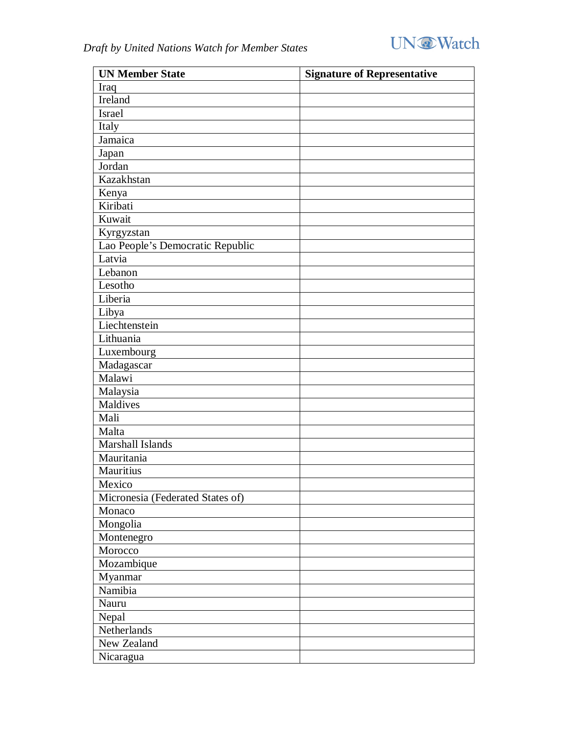

| <b>UN Member State</b>           | <b>Signature of Representative</b> |
|----------------------------------|------------------------------------|
| Iraq                             |                                    |
| Ireland                          |                                    |
| <b>Israel</b>                    |                                    |
| Italy                            |                                    |
| Jamaica                          |                                    |
| Japan                            |                                    |
| Jordan                           |                                    |
| Kazakhstan                       |                                    |
| Kenya                            |                                    |
| Kiribati                         |                                    |
| Kuwait                           |                                    |
| Kyrgyzstan                       |                                    |
| Lao People's Democratic Republic |                                    |
| Latvia                           |                                    |
| Lebanon                          |                                    |
| Lesotho                          |                                    |
| Liberia                          |                                    |
| Libya                            |                                    |
| Liechtenstein                    |                                    |
| Lithuania                        |                                    |
| Luxembourg                       |                                    |
| Madagascar                       |                                    |
| Malawi                           |                                    |
| Malaysia                         |                                    |
| Maldives                         |                                    |
| Mali                             |                                    |
| Malta                            |                                    |
| Marshall Islands                 |                                    |
| Mauritania                       |                                    |
| Mauritius                        |                                    |
| Mexico                           |                                    |
| Micronesia (Federated States of) |                                    |
| Monaco                           |                                    |
| Mongolia                         |                                    |
| Montenegro                       |                                    |
| Morocco                          |                                    |
| Mozambique                       |                                    |
| Myanmar                          |                                    |
| Namibia                          |                                    |
| Nauru                            |                                    |
| Nepal                            |                                    |
| Netherlands                      |                                    |
| New Zealand                      |                                    |
| Nicaragua                        |                                    |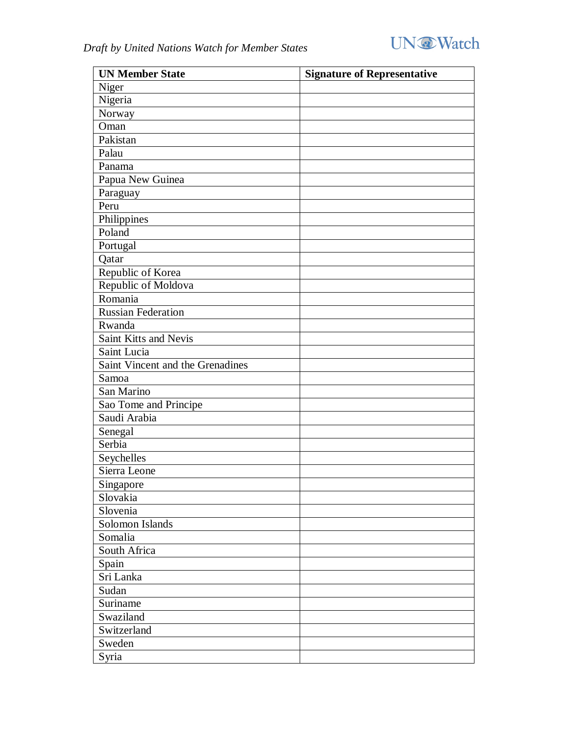

| <b>UN Member State</b>           | <b>Signature of Representative</b> |
|----------------------------------|------------------------------------|
| Niger                            |                                    |
| Nigeria                          |                                    |
| Norway                           |                                    |
| Oman                             |                                    |
| Pakistan                         |                                    |
| Palau                            |                                    |
| Panama                           |                                    |
| Papua New Guinea                 |                                    |
| Paraguay                         |                                    |
| Peru                             |                                    |
| Philippines                      |                                    |
| Poland                           |                                    |
| Portugal                         |                                    |
| Qatar                            |                                    |
| Republic of Korea                |                                    |
| Republic of Moldova              |                                    |
| Romania                          |                                    |
| <b>Russian Federation</b>        |                                    |
| Rwanda                           |                                    |
| Saint Kitts and Nevis            |                                    |
| Saint Lucia                      |                                    |
| Saint Vincent and the Grenadines |                                    |
| Samoa                            |                                    |
| San Marino                       |                                    |
| Sao Tome and Principe            |                                    |
| Saudi Arabia                     |                                    |
| Senegal                          |                                    |
| Serbia                           |                                    |
| Seychelles                       |                                    |
| Sierra Leone                     |                                    |
| Singapore                        |                                    |
| Slovakia                         |                                    |
| Slovenia                         |                                    |
| Solomon Islands                  |                                    |
| Somalia                          |                                    |
| South Africa                     |                                    |
| Spain                            |                                    |
| Sri Lanka                        |                                    |
| Sudan                            |                                    |
| Suriname                         |                                    |
| Swaziland                        |                                    |
| Switzerland                      |                                    |
| Sweden                           |                                    |
| Syria                            |                                    |